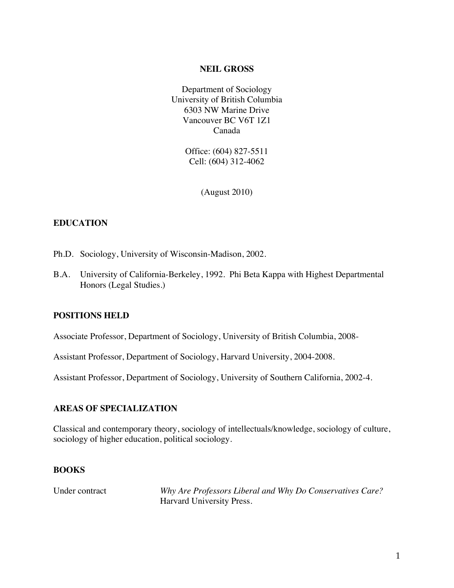#### **NEIL GROSS**

Department of Sociology University of British Columbia 6303 NW Marine Drive Vancouver BC V6T 1Z1 Canada

> Office: (604) 827-5511 Cell: (604) 312-4062

> > (August 2010)

## **EDUCATION**

- Ph.D. Sociology, University of Wisconsin-Madison, 2002.
- B.A. University of California-Berkeley, 1992. Phi Beta Kappa with Highest Departmental Honors (Legal Studies.)

## **POSITIONS HELD**

Associate Professor, Department of Sociology, University of British Columbia, 2008-

Assistant Professor, Department of Sociology, Harvard University, 2004-2008.

Assistant Professor, Department of Sociology, University of Southern California, 2002-4.

## **AREAS OF SPECIALIZATION**

Classical and contemporary theory, sociology of intellectuals/knowledge, sociology of culture, sociology of higher education, political sociology.

### **BOOKS**

Under contract *Why Are Professors Liberal and Why Do Conservatives Care?* Harvard University Press.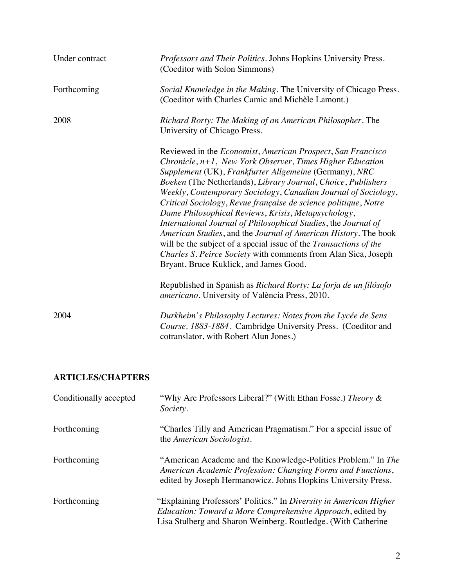| Under contract | Professors and Their Politics. Johns Hopkins University Press.<br>(Coeditor with Solon Simmons)                                                                                                                                                                                                                                                                                                                                                                                                                                                                                                                                                                                                                                                                                  |
|----------------|----------------------------------------------------------------------------------------------------------------------------------------------------------------------------------------------------------------------------------------------------------------------------------------------------------------------------------------------------------------------------------------------------------------------------------------------------------------------------------------------------------------------------------------------------------------------------------------------------------------------------------------------------------------------------------------------------------------------------------------------------------------------------------|
| Forthcoming    | Social Knowledge in the Making. The University of Chicago Press.<br>(Coeditor with Charles Camic and Michèle Lamont.)                                                                                                                                                                                                                                                                                                                                                                                                                                                                                                                                                                                                                                                            |
| 2008           | Richard Rorty: The Making of an American Philosopher. The<br>University of Chicago Press.                                                                                                                                                                                                                                                                                                                                                                                                                                                                                                                                                                                                                                                                                        |
|                | Reviewed in the <i>Economist</i> , American Prospect, San Francisco<br>Chronicle, $n+1$ , New York Observer, Times Higher Education<br>Supplement (UK), Frankfurter Allgemeine (Germany), NRC<br>Boeken (The Netherlands), Library Journal, Choice, Publishers<br>Weekly, Contemporary Sociology, Canadian Journal of Sociology,<br>Critical Sociology, Revue française de science politique, Notre<br>Dame Philosophical Reviews, Krisis, Metapsychology,<br>International Journal of Philosophical Studies, the Journal of<br>American Studies, and the Journal of American History. The book<br>will be the subject of a special issue of the Transactions of the<br>Charles S. Peirce Society with comments from Alan Sica, Joseph<br>Bryant, Bruce Kuklick, and James Good. |
|                | Republished in Spanish as Richard Rorty: La forja de un filósofo<br>americano. University of València Press, 2010.                                                                                                                                                                                                                                                                                                                                                                                                                                                                                                                                                                                                                                                               |
| 2004           | Durkheim's Philosophy Lectures: Notes from the Lycée de Sens<br>Course, 1883-1884. Cambridge University Press. (Coeditor and<br>cotranslator, with Robert Alun Jones.)                                                                                                                                                                                                                                                                                                                                                                                                                                                                                                                                                                                                           |

# **ARTICLES/CHAPTERS**

| Conditionally accepted | "Why Are Professors Liberal?" (With Ethan Fosse.) Theory &<br>Society.                                                                                                                            |
|------------------------|---------------------------------------------------------------------------------------------------------------------------------------------------------------------------------------------------|
| Forthcoming            | "Charles Tilly and American Pragmatism." For a special issue of<br>the American Sociologist.                                                                                                      |
| Forthcoming            | "American Academe and the Knowledge-Politics Problem." In The<br>American Academic Profession: Changing Forms and Functions,<br>edited by Joseph Hermanowicz. Johns Hopkins University Press.     |
| Forthcoming            | "Explaining Professors' Politics." In Diversity in American Higher<br>Education: Toward a More Comprehensive Approach, edited by<br>Lisa Stulberg and Sharon Weinberg. Routledge. (With Catherine |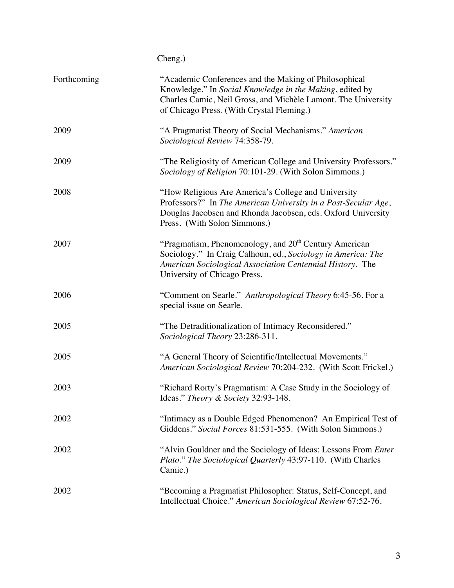|             | Cheng.)                                                                                                                                                                                                                         |
|-------------|---------------------------------------------------------------------------------------------------------------------------------------------------------------------------------------------------------------------------------|
| Forthcoming | "Academic Conferences and the Making of Philosophical<br>Knowledge." In Social Knowledge in the Making, edited by<br>Charles Camic, Neil Gross, and Michèle Lamont. The University<br>of Chicago Press. (With Crystal Fleming.) |
| 2009        | "A Pragmatist Theory of Social Mechanisms." American<br>Sociological Review 74:358-79.                                                                                                                                          |
| 2009        | "The Religiosity of American College and University Professors."<br>Sociology of Religion 70:101-29. (With Solon Simmons.)                                                                                                      |
| 2008        | "How Religious Are America's College and University<br>Professors?" In The American University in a Post-Secular Age,<br>Douglas Jacobsen and Rhonda Jacobsen, eds. Oxford University<br>Press. (With Solon Simmons.)           |
| 2007        | "Pragmatism, Phenomenology, and 20 <sup>th</sup> Century American<br>Sociology." In Craig Calhoun, ed., Sociology in America: The<br>American Sociological Association Centennial History. The<br>University of Chicago Press.  |
| 2006        | "Comment on Searle." Anthropological Theory 6:45-56. For a<br>special issue on Searle.                                                                                                                                          |
| 2005        | "The Detraditionalization of Intimacy Reconsidered."<br>Sociological Theory 23:286-311.                                                                                                                                         |
| 2005        | "A General Theory of Scientific/Intellectual Movements."<br>American Sociological Review 70:204-232. (With Scott Frickel.)                                                                                                      |
| 2003        | "Richard Rorty's Pragmatism: A Case Study in the Sociology of<br>Ideas." Theory & Society 32:93-148.                                                                                                                            |
| 2002        | "Intimacy as a Double Edged Phenomenon? An Empirical Test of<br>Giddens." Social Forces 81:531-555. (With Solon Simmons.)                                                                                                       |
| 2002        | "Alvin Gouldner and the Sociology of Ideas: Lessons From <i>Enter</i><br>Plato." The Sociological Quarterly 43:97-110. (With Charles<br>Camic.)                                                                                 |
| 2002        | "Becoming a Pragmatist Philosopher: Status, Self-Concept, and<br>Intellectual Choice." American Sociological Review 67:52-76.                                                                                                   |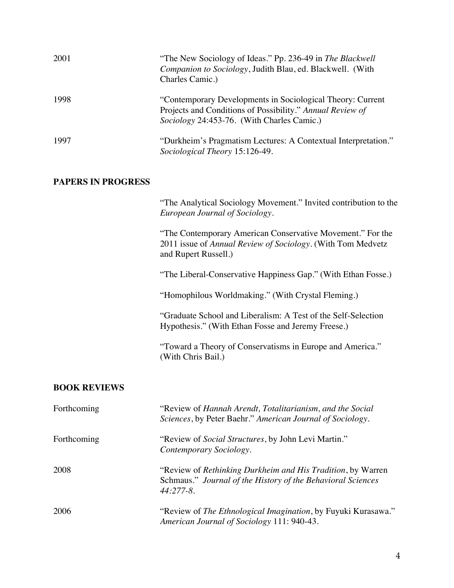| 2001 | "The New Sociology of Ideas." Pp. 236-49 in The Blackwell<br>Companion to Sociology, Judith Blau, ed. Blackwell. (With<br>Charles Camic.)                             |
|------|-----------------------------------------------------------------------------------------------------------------------------------------------------------------------|
| 1998 | "Contemporary Developments in Sociological Theory: Current<br>Projects and Conditions of Possibility." Annual Review of<br>Sociology 24:453-76. (With Charles Camic.) |
| 1997 | "Durkheim's Pragmatism Lectures: A Contextual Interpretation."<br>Sociological Theory 15:126-49.                                                                      |

## **PAPERS IN PROGRESS**

"The Analytical Sociology Movement." Invited contribution to the *European Journal of Sociology*.

"The Contemporary American Conservative Movement." For the 2011 issue of *Annual Review of Sociology*. (With Tom Medvetz and Rupert Russell.)

"The Liberal-Conservative Happiness Gap." (With Ethan Fosse.)

"Homophilous Worldmaking." (With Crystal Fleming.)

"Graduate School and Liberalism: A Test of the Self-Selection Hypothesis." (With Ethan Fosse and Jeremy Freese.)

"Toward a Theory of Conservatisms in Europe and America." (With Chris Bail.)

#### **BOOK REVIEWS**

| Forthcoming | "Review of Hannah Arendt, Totalitarianism, and the Social<br>Sciences, by Peter Baehr." American Journal of Sociology.                     |
|-------------|--------------------------------------------------------------------------------------------------------------------------------------------|
| Forthcoming | "Review of <i>Social Structures</i> , by John Levi Martin."<br>Contemporary Sociology.                                                     |
| 2008        | "Review of Rethinking Durkheim and His Tradition, by Warren<br>Schmaus." Journal of the History of the Behavioral Sciences<br>$44:277-8$ . |
| 2006        | "Review of The Ethnological Imagination, by Fuyuki Kurasawa."<br>American Journal of Sociology 111: 940-43.                                |